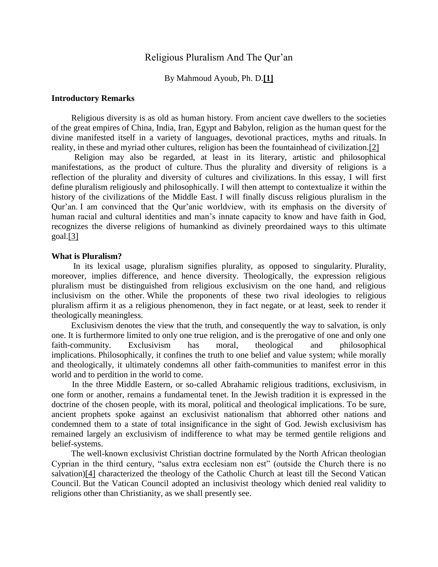# Religious Pluralism And The Qur'an

### By Mahmoud Ayoub, Ph. D.**[1]**

## **Introductory Remarks**

 Religious diversity is as old as human history. From ancient cave dwellers to the societies of the great empires of China, India, Iran, Egypt and Babylon, religion as the human quest for the divine manifested itself in a variety of languages, devotional practices, myths and rituals. In reality, in these and myriad other cultures, religion has been the fountainhead of civilization.[2]

 Religion may also be regarded, at least in its literary, artistic and philosophical manifestations, as the product of culture. Thus the plurality and diversity of religions is a reflection of the plurality and diversity of cultures and civilizations. In this essay, I will first define pluralism religiously and philosophically. I will then attempt to contextualize it within the history of the civilizations of the Middle East. I will finally discuss religious pluralism in the Qur'an. I am convinced that the Qur'anic worldview, with its emphasis on the diversity of human racial and cultural identities and man's innate capacity to know and have faith in God, recognizes the diverse religions of humankind as divinely preordained ways to this ultimate goal.[3]

#### **What is Pluralism?**

 In its lexical usage, pluralism signifies plurality, as opposed to singularity. Plurality, moreover, implies difference, and hence diversity. Theologically, the expression religious pluralism must be distinguished from religious exclusivism on the one hand, and religious inclusivism on the other. While the proponents of these two rival ideologies to religious pluralism affirm it as a religious phenomenon, they in fact negate, or at least, seek to render it theologically meaningless.

 Exclusivism denotes the view that the truth, and consequently the way to salvation, is only one. It is furthermore limited to only one true religion, and is the prerogative of one and only one faith-community. Exclusivism has moral, theological and philosophical implications. Philosophically, it confines the truth to one belief and value system; while morally and theologically, it ultimately condemns all other faith-communities to manifest error in this world and to perdition in the world to come.

 In the three Middle Eastern, or so-called Abrahamic religious traditions, exclusivism, in one form or another, remains a fundamental tenet. In the Jewish tradition it is expressed in the doctrine of the chosen people, with its moral, political and theological implications. To be sure, ancient prophets spoke against an exclusivist nationalism that abhorred other nations and condemned them to a state of total insignificance in the sight of God. Jewish exclusivism has remained largely an exclusivism of indifference to what may be termed gentile religions and belief-systems.

 The well-known exclusivist Christian doctrine formulated by the North African theologian Cyprian in the third century, "salus extra ecclesiam non est" (outside the Church there is no salvation)[4] characterized the theology of the Catholic Church at least till the Second Vatican Council. But the Vatican Council adopted an inclusivist theology which denied real validity to religions other than Christianity, as we shall presently see.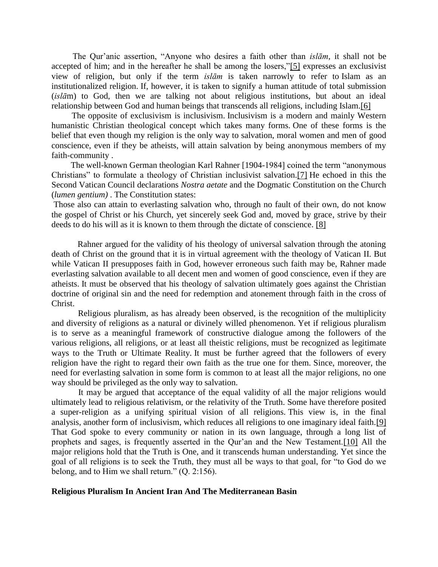The Qur'anic assertion, "Anyone who desires a faith other than *islām*, it shall not be accepted of him; and in the hereafter he shall be among the losers,"[5] expresses an exclusivist view of religion, but only if the term *islām* is taken narrowly to refer to Islam as an institutionalized religion. If, however, it is taken to signify a human attitude of total submission (*islā*m) to God, then we are talking not about religious institutions, but about an ideal relationship between God and human beings that transcends all religions, including Islam.[6]

 The opposite of exclusivism is inclusivism. Inclusivism is a modern and mainly Western humanistic Christian theological concept which takes many forms. One of these forms is the belief that even though my religion is the only way to salvation, moral women and men of good conscience, even if they be atheists, will attain salvation by being anonymous members of my faith-community .

 The well-known German theologian Karl Rahner [1904-1984] coined the term "anonymous Christians" to formulate a theology of Christian inclusivist salvation.[7] He echoed in this the Second Vatican Council declarations *Nostra aetate* and the Dogmatic Constitution on the Church (*lumen gentium)* . The Constitution states:

Those also can attain to everlasting salvation who, through no fault of their own, do not know the gospel of Christ or his Church, yet sincerely seek God and, moved by grace, strive by their deeds to do his will as it is known to them through the dictate of conscience. [8]

 Rahner argued for the validity of his theology of universal salvation through the atoning death of Christ on the ground that it is in virtual agreement with the theology of Vatican II. But while Vatican II presupposes faith in God, however erroneous such faith may be, Rahner made everlasting salvation available to all decent men and women of good conscience, even if they are atheists. It must be observed that his theology of salvation ultimately goes against the Christian doctrine of original sin and the need for redemption and atonement through faith in the cross of Christ.

 Religious pluralism, as has already been observed, is the recognition of the multiplicity and diversity of religions as a natural or divinely willed phenomenon. Yet if religious pluralism is to serve as a meaningful framework of constructive dialogue among the followers of the various religions, all religions, or at least all theistic religions, must be recognized as legitimate ways to the Truth or Ultimate Reality. It must be further agreed that the followers of every religion have the right to regard their own faith as the true one for them. Since, moreover, the need for everlasting salvation in some form is common to at least all the major religions, no one way should be privileged as the only way to salvation.

 It may be argued that acceptance of the equal validity of all the major religions would ultimately lead to religious relativism, or the relativity of the Truth. Some have therefore posited a super-religion as a unifying spiritual vision of all religions. This view is, in the final analysis, another form of inclusivism, which reduces all religions to one imaginary ideal faith.[9] That God spoke to every community or nation in its own language, through a long list of prophets and sages, is frequently asserted in the Qur'an and the New Testament.[10] All the major religions hold that the Truth is One, and it transcends human understanding. Yet since the goal of all religions is to seek the Truth, they must all be ways to that goal, for "to God do we belong, and to Him we shall return." (Q. 2:156).

# **Religious Pluralism In Ancient Iran And The Mediterranean Basin**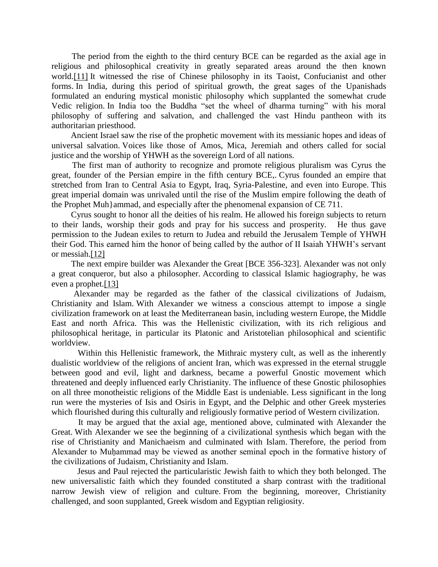The period from the eighth to the third century BCE can be regarded as the axial age in religious and philosophical creativity in greatly separated areas around the then known world.[11] It witnessed the rise of Chinese philosophy in its Taoist, Confucianist and other forms. In India, during this period of spiritual growth, the great sages of the Upanishads formulated an enduring mystical monistic philosophy which supplanted the somewhat crude Vedic religion. In India too the Buddha "set the wheel of dharma turning" with his moral philosophy of suffering and salvation, and challenged the vast Hindu pantheon with its authoritarian priesthood.

 Ancient Israel saw the rise of the prophetic movement with its messianic hopes and ideas of universal salvation. Voices like those of Amos, Mica, Jeremiah and others called for social justice and the worship of YHWH as the sovereign Lord of all nations.

 The first man of authority to recognize and promote religious pluralism was Cyrus the great, founder of the Persian empire in the fifth century BCE,. Cyrus founded an empire that stretched from Iran to Central Asia to Egypt, Iraq, Syria-Palestine, and even into Europe. This great imperial domain was unrivaled until the rise of the Muslim empire following the death of the Prophet Muh}ammad, and especially after the phenomenal expansion of CE 711.

 Cyrus sought to honor all the deities of his realm. He allowed his foreign subjects to return to their lands, worship their gods and pray for his success and prosperity. He thus gave permission to the Judean exiles to return to Judea and rebuild the Jerusalem Temple of YHWH their God. This earned him the honor of being called by the author of II Isaiah YHWH's servant or messiah.[12]

 The next empire builder was Alexander the Great [BCE 356-323]. Alexander was not only a great conqueror, but also a philosopher. According to classical Islamic hagiography, he was even a prophet.[13]

 Alexander may be regarded as the father of the classical civilizations of Judaism, Christianity and Islam. With Alexander we witness a conscious attempt to impose a single civilization framework on at least the Mediterranean basin, including western Europe, the Middle East and north Africa. This was the Hellenistic civilization, with its rich religious and philosophical heritage, in particular its Platonic and Aristotelian philosophical and scientific worldview.

 Within this Hellenistic framework, the Mithraic mystery cult, as well as the inherently dualistic worldview of the religions of ancient Iran, which was expressed in the eternal struggle between good and evil, light and darkness, became a powerful Gnostic movement which threatened and deeply influenced early Christianity. The influence of these Gnostic philosophies on all three monotheistic religions of the Middle East is undeniable. Less significant in the long run were the mysteries of Isis and Osiris in Egypt, and the Delphic and other Greek mysteries which flourished during this culturally and religiously formative period of Western civilization.

 It may be argued that the axial age, mentioned above, culminated with Alexander the Great. With Alexander we see the beginning of a civilizational synthesis which began with the rise of Christianity and Manichaeism and culminated with Islam. Therefore, the period from Alexander to Muḥammad may be viewed as another seminal epoch in the formative history of the civilizations of Judaism, Christianity and Islam.

 Jesus and Paul rejected the particularistic Jewish faith to which they both belonged. The new universalistic faith which they founded constituted a sharp contrast with the traditional narrow Jewish view of religion and culture. From the beginning, moreover, Christianity challenged, and soon supplanted, Greek wisdom and Egyptian religiosity.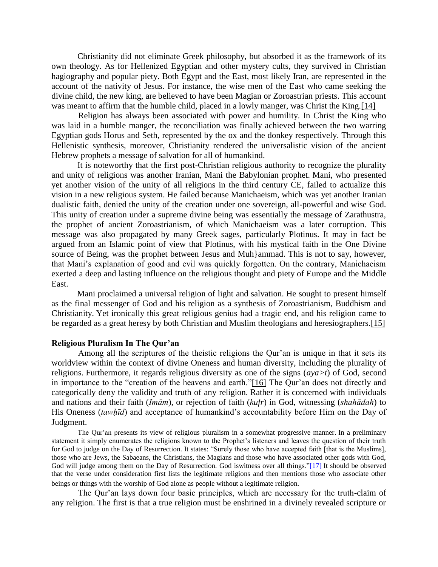Christianity did not eliminate Greek philosophy, but absorbed it as the framework of its own theology. As for Hellenized Egyptian and other mystery cults, they survived in Christian hagiography and popular piety. Both Egypt and the East, most likely Iran, are represented in the account of the nativity of Jesus. For instance, the wise men of the East who came seeking the divine child, the new king, are believed to have been Magian or Zoroastrian priests. This account was meant to affirm that the humble child, placed in a lowly manger, was Christ the King.[14]

 Religion has always been associated with power and humility. In Christ the King who was laid in a humble manger, the reconciliation was finally achieved between the two warring Egyptian gods Horus and Seth, represented by the ox and the donkey respectively. Through this Hellenistic synthesis, moreover, Christianity rendered the universalistic vision of the ancient Hebrew prophets a message of salvation for all of humankind.

 It is noteworthy that the first post-Christian religious authority to recognize the plurality and unity of religions was another Iranian, Mani the Babylonian prophet. Mani, who presented yet another vision of the unity of all religions in the third century CE, failed to actualize this vision in a new religious system. He failed because Manichaeism, which was yet another Iranian dualistic faith, denied the unity of the creation under one sovereign, all-powerful and wise God. This unity of creation under a supreme divine being was essentially the message of Zarathustra, the prophet of ancient Zoroastrianism, of which Manichaeism was a later corruption. This message was also propagated by many Greek sages, particularly Plotinus. It may in fact be argued from an Islamic point of view that Plotinus, with his mystical faith in the One Divine source of Being, was the prophet between Jesus and Muh}ammad. This is not to say, however, that Mani's explanation of good and evil was quickly forgotten. On the contrary, Manichaeism exerted a deep and lasting influence on the religious thought and piety of Europe and the Middle East.

 Mani proclaimed a universal religion of light and salvation. He sought to present himself as the final messenger of God and his religion as a synthesis of Zoroastrianism, Buddhism and Christianity. Yet ironically this great religious genius had a tragic end, and his religion came to be regarded as a great heresy by both Christian and Muslim theologians and heresiographers.[15]

## **Religious Pluralism In The Qur'an**

 Among all the scriptures of the theistic religions the Qur'an is unique in that it sets its worldview within the context of divine Oneness and human diversity, including the plurality of religions. Furthermore, it regards religious diversity as one of the signs (*aya>t*) of God, second in importance to the "creation of the heavens and earth."[16] The Qur'an does not directly and categorically deny the validity and truth of any religion. Rather it is concerned with individuals and nations and their faith (*Imām*), or rejection of faith (*kufr*) in God, witnessing (*shahādah*) to His Oneness (*tawhīd*) and acceptance of humankind's accountability before Him on the Day of Judgment.

 The Qur'an presents its view of religious pluralism in a somewhat progressive manner. In a preliminary statement it simply enumerates the religions known to the Prophet's listeners and leaves the question of their truth for God to judge on the Day of Resurrection. It states: "Surely those who have accepted faith [that is the Muslims], those who are Jews, the Sabaeans, the Christians, the Magians and those who have associated other gods with God, God will judge among them on the Day of Resurrection. God iswitness over all things."[17] It should be observed that the verse under consideration first lists the legitimate religions and then mentions those who associate other beings or things with the worship of God alone as people without a legitimate religion.

 The Qur'an lays down four basic principles, which are necessary for the truth-claim of any religion. The first is that a true religion must be enshrined in a divinely revealed scripture or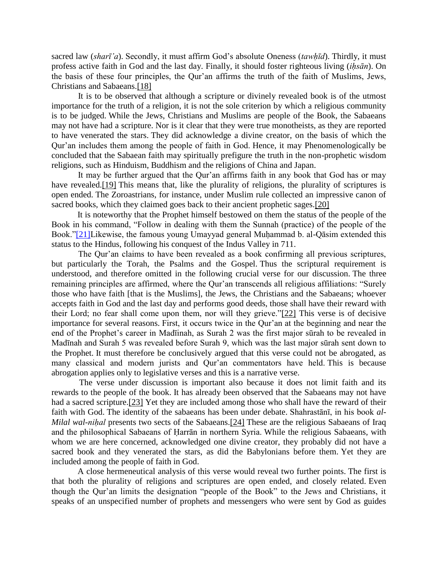sacred law (*sharī'a*). Secondly, it must affirm God's absolute Oneness (*tawḥīd*). Thirdly, it must profess active faith in God and the last day. Finally, it should foster righteous living (*iḥsān*). On the basis of these four principles, the Qur'an affirms the truth of the faith of Muslims, Jews, Christians and Sabaeans.[18]

 It is to be observed that although a scripture or divinely revealed book is of the utmost importance for the truth of a religion, it is not the sole criterion by which a religious community is to be judged. While the Jews, Christians and Muslims are people of the Book, the Sabaeans may not have had a scripture. Nor is it clear that they were true monotheists, as they are reported to have venerated the stars. They did acknowledge a divine creator, on the basis of which the Qur'an includes them among the people of faith in God. Hence, it may Phenomenologically be concluded that the Sabaean faith may spiritually prefigure the truth in the non-prophetic wisdom religions, such as Hinduism, Buddhism and the religions of China and Japan.

 It may be further argued that the Qur'an affirms faith in any book that God has or may have revealed. [19] This means that, like the plurality of religions, the plurality of scriptures is open ended. The Zoroastrians, for instance, under Muslim rule collected an impressive canon of sacred books, which they claimed goes back to their ancient prophetic sages.[20]

 It is noteworthy that the Prophet himself bestowed on them the status of the people of the Book in his command, "Follow in dealing with them the Sunnah (practice) of the people of the Book."[21]Likewise, the famous young Umayyad general Muḥammad b. al-Qāsim extended this status to the Hindus, following his conquest of the Indus Valley in 711.

 The Qur'an claims to have been revealed as a book confirming all previous scriptures, but particularly the Torah, the Psalms and the Gospel. Thus the scriptural requirement is understood, and therefore omitted in the following crucial verse for our discussion. The three remaining principles are affirmed, where the Qur'an transcends all religious affiliations: "Surely those who have faith [that is the Muslims], the Jews, the Christians and the Sabaeans; whoever accepts faith in God and the last day and performs good deeds, those shall have their reward with their Lord; no fear shall come upon them, nor will they grieve."[22] This verse is of decisive importance for several reasons. First, it occurs twice in the Qur'an at the beginning and near the end of the Prophet's career in Madīinah, as Surah 2 was the first major sūrah to be revealed in Madīnah and Surah 5 was revealed before Surah 9, which was the last major sūrah sent down to the Prophet. It must therefore be conclusively argued that this verse could not be abrogated, as many classical and modern jurists and Qur'an commentators have held. This is because abrogation applies only to legislative verses and this is a narrative verse.

 The verse under discussion is important also because it does not limit faith and its rewards to the people of the book. It has already been observed that the Sabaeans may not have had a sacred scripture.[23] Yet they are included among those who shall have the reward of their faith with God. The identity of the sabaeans has been under debate. Shahrastānī, in his book *al-Milal wal-nihal* presents two sects of the Sabaeans.<sup>[24]</sup> These are the religious Sabaeans of Iraq and the philosophical Sabaeans of Ḥarrān in northern Syria. While the religious Sabaeans, with whom we are here concerned, acknowledged one divine creator, they probably did not have a sacred book and they venerated the stars, as did the Babylonians before them. Yet they are included among the people of faith in God.

 A close hermeneutical analysis of this verse would reveal two further points. The first is that both the plurality of religions and scriptures are open ended, and closely related. Even though the Qur'an limits the designation "people of the Book" to the Jews and Christians, it speaks of an unspecified number of prophets and messengers who were sent by God as guides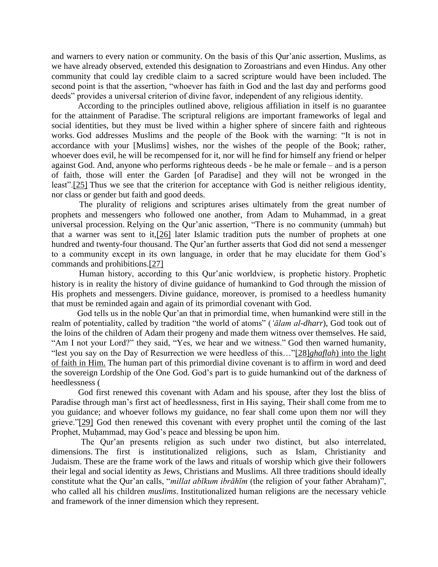and warners to every nation or community. On the basis of this Qur'anic assertion, Muslims, as we have already observed, extended this designation to Zoroastrians and even Hindus. Any other community that could lay credible claim to a sacred scripture would have been included. The second point is that the assertion, "whoever has faith in God and the last day and performs good deeds" provides a universal criterion of divine favor, independent of any religious identity.

 According to the principles outlined above, religious affiliation in itself is no guarantee for the attainment of Paradise. The scriptural religions are important frameworks of legal and social identities, but they must be lived within a higher sphere of sincere faith and righteous works. God addresses Muslims and the people of the Book with the warning: "It is not in accordance with your [Muslims] wishes, nor the wishes of the people of the Book; rather, whoever does evil, he will be recompensed for it, nor will he find for himself any friend or helper against God. And, anyone who performs righteous deeds - be he male or female – and is a person of faith, those will enter the Garden [of Paradise] and they will not be wronged in the least".[25] Thus we see that the criterion for acceptance with God is neither religious identity, nor class or gender but faith and good deeds.

 The plurality of religions and scriptures arises ultimately from the great number of prophets and messengers who followed one another, from Adam to Muhammad, in a great universal procession. Relying on the Qur'anic assertion, "There is no community (ummah) but that a warner was sent to it,[26] later Islamic tradition puts the number of prophets at one hundred and twenty-four thousand. The Qur'an further asserts that God did not send a messenger to a community except in its own language, in order that he may elucidate for them God's commands and prohibitions.[27]

 Human history, according to this Qur'anic worldview, is prophetic history. Prophetic history is in reality the history of divine guidance of humankind to God through the mission of His prophets and messengers. Divine guidance, moreover, is promised to a heedless humanity that must be reminded again and again of its primordial covenant with God.

 God tells us in the noble Qur'an that in primordial time, when humankind were still in the realm of potentiality, called by tradition "the world of atoms" (*'ālam al-dharr*), God took out of the loins of the children of Adam their progeny and made them witness over themselves. He said, "Am I not your Lord?" they said, "Yes, we hear and we witness." God then warned humanity, "lest you say on the Day of Resurrection we were heedless of this…"[28]*ghaflah*) into the light of faith in Him. The human part of this primordial divine covenant is to affirm in word and deed the sovereign Lordship of the One God. God's part is to guide humankind out of the darkness of heedlessness (

 God first renewed this covenant with Adam and his spouse, after they lost the bliss of Paradise through man's first act of heedlessness, first in His saying, Their shall come from me to you guidance; and whoever follows my guidance, no fear shall come upon them nor will they grieve."[29] God then renewed this covenant with every prophet until the coming of the last Prophet, Muḥammad, may God's peace and blessing be upon him.

 The Qur'an presents religion as such under two distinct, but also interrelated, dimensions. The first is institutionalized religions, such as Islam, Christianity and Judaism. These are the frame work of the laws and rituals of worship which give their followers their legal and social identity as Jews, Christians and Muslims. All three traditions should ideally constitute what the Qur'an calls, "*millat abīkum ibrāhīm* (the religion of your father Abraham)", who called all his children *muslims*. Institutionalized human religions are the necessary vehicle and framework of the inner dimension which they represent.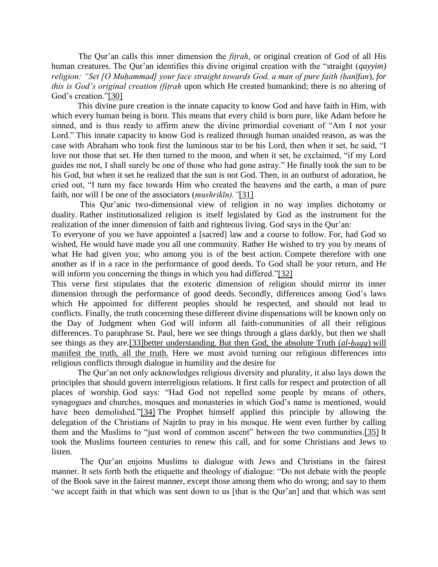The Qur'an calls this inner dimension the *fiṭrah*, or original creation of God of all His human creatures. The Qur'an identifies this divine original creation with the "straight (*qayyim) religion: "Set [O Muḥammad] your face straight towards God, a man of pure faith (ḥanīfan*)*, for this is God's original creation (fiṭrah* upon which He created humankind; there is no altering of God's creation."[30]

 This divine pure creation is the innate capacity to know God and have faith in Him, with which every human being is born. This means that every child is born pure, like Adam before he sinned, and is thus ready to affirm anew the divine primordial covenant of "Am I not your Lord." This innate capacity to know God is realized through human unaided reason, as was the case with Abraham who took first the luminous star to be his Lord, then when it set, he said, "I love not those that set. He then turned to the moon, and when it set, he exclaimed, "if my Lord guides me not, I shall surely be one of those who had gone astray." He finally took the sun to be his God, but when it set he realized that the sun is not God. Then, in an outburst of adoration, he cried out, "I turn my face towards Him who created the heavens and the earth, a man of pure faith, nor will I be one of the associators (*mushrikīn)."*[31]

 This Qur'anic two-dimensional view of religion in no way implies dichotomy or duality. Rather institutionalized religion is itself legislated by God as the instrument for the realization of the inner dimension of faith and righteous living. God says in the Qur'an:

To everyone of you we have appointed a [sacred] law and a course to follow. For, had God so wished, He would have made you all one community. Rather He wished to try you by means of what He had given you; who among you is of the best action. Compete therefore with one another as if in a race in the performance of good deeds. To God shall be your return, and He will inform you concerning the things in which you had differed."[32]

This verse first stipulates that the exoteric dimension of religion should mirror its inner dimension through the performance of good deeds. Secondly, differences among God's laws which He appointed for different peoples should be respected, and should not lead to conflicts. Finally, the truth concerning these different divine dispensations will be known only on the Day of Judgment when God will inform all faith-communities of all their religious differences. To paraphrase St. Paul, here we see things through a glass darkly, but then we shall see things as they are.<sup>[33]</sup>better understanding. But then God, the absolute Truth *(al-haqq)* will manifest the truth, all the truth. Here we must avoid turning our religious differences into religious conflicts through dialogue in humility and the desire for

 The Qur'an not only acknowledges religious diversity and plurality, it also lays down the principles that should govern interreligious relations. It first calls for respect and protection of all places of worship. God says: "Had God not repelled some people by means of others, synagogues and churches, mosques and monasteries in which God's name is mentioned, would have been demolished."[34] The Prophet himself applied this principle by allowing the delegation of the Christians of Najrān to pray in his mosque. He went even further by calling them and the Muslims to "just word of common ascent" between the two communities.[35] It took the Muslims fourteen centuries to renew this call, and for some Christians and Jews to listen.

 The Qur'an enjoins Muslims to dialogue with Jews and Christians in the fairest manner. It sets forth both the etiquette and theology of dialogue: "Do not debate with the people of the Book save in the fairest manner, except those among them who do wrong; and say to them 'we accept faith in that which was sent down to us [that is the Qur'an] and that which was sent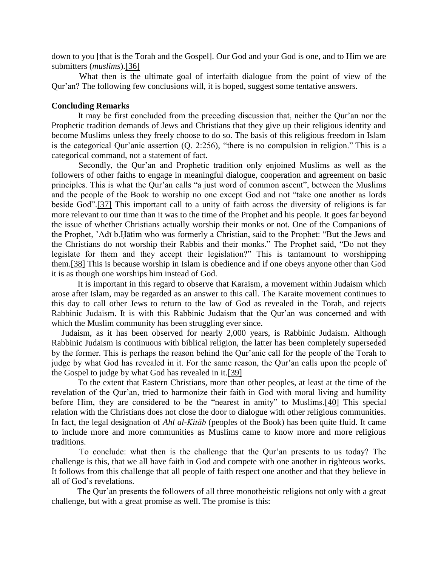down to you [that is the Torah and the Gospel]. Our God and your God is one, and to Him we are submitters (*muslims*).[36]

 What then is the ultimate goal of interfaith dialogue from the point of view of the Qur'an? The following few conclusions will, it is hoped, suggest some tentative answers.

### **Concluding Remarks**

It may be first concluded from the preceding discussion that, neither the Qur'an nor the Prophetic tradition demands of Jews and Christians that they give up their religious identity and become Muslims unless they freely choose to do so. The basis of this religious freedom in Islam is the categorical Qur'anic assertion (Q. 2:256), "there is no compulsion in religion." This is a categorical command, not a statement of fact.

 Secondly, the Qur'an and Prophetic tradition only enjoined Muslims as well as the followers of other faiths to engage in meaningful dialogue, cooperation and agreement on basic principles. This is what the Qur'an calls "a just word of common ascent", between the Muslims and the people of the Book to worship no one except God and not "take one another as lords beside God".[37] This important call to a unity of faith across the diversity of religions is far more relevant to our time than it was to the time of the Prophet and his people. It goes far beyond the issue of whether Christians actually worship their monks or not. One of the Companions of the Prophet, 'Adī b.Ḥātim who was formerly a Christian, said to the Prophet: "But the Jews and the Christians do not worship their Rabbis and their monks." The Prophet said, "Do not they legislate for them and they accept their legislation?" This is tantamount to worshipping them.[38] This is because worship in Islam is obedience and if one obeys anyone other than God it is as though one worships him instead of God.

 It is important in this regard to observe that Karaism, a movement within Judaism which arose after Islam, may be regarded as an answer to this call. The Karaite movement continues to this day to call other Jews to return to the law of God as revealed in the Torah, and rejects Rabbinic Judaism. It is with this Rabbinic Judaism that the Qur'an was concerned and with which the Muslim community has been struggling ever since.

Judaism, as it has been observed for nearly 2,000 years, is Rabbinic Judaism. Although Rabbinic Judaism is continuous with biblical religion, the latter has been completely superseded by the former. This is perhaps the reason behind the Qur'anic call for the people of the Torah to judge by what God has revealed in it. For the same reason, the Qur'an calls upon the people of the Gospel to judge by what God has revealed in it.[39]

 To the extent that Eastern Christians, more than other peoples, at least at the time of the revelation of the Qur'an, tried to harmonize their faith in God with moral living and humility before Him, they are considered to be the "nearest in amity" to Muslims.[40] This special relation with the Christians does not close the door to dialogue with other religious communities. In fact, the legal designation of *Ahl al-Kitāb* (peoples of the Book) has been quite fluid. It came to include more and more communities as Muslims came to know more and more religious traditions.

 To conclude: what then is the challenge that the Qur'an presents to us today? The challenge is this, that we all have faith in God and compete with one another in righteous works. It follows from this challenge that all people of faith respect one another and that they believe in all of God's revelations.

 The Qur'an presents the followers of all three monotheistic religions not only with a great challenge, but with a great promise as well. The promise is this: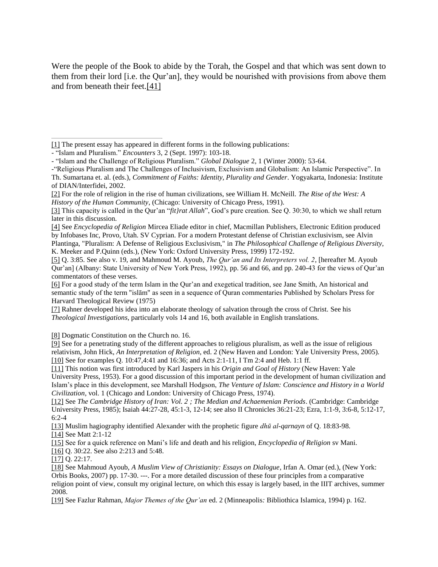Were the people of the Book to abide by the Torah, the Gospel and that which was sent down to them from their lord [i.e. the Qur'an], they would be nourished with provisions from above them and from beneath their feet.[41]

[7] Rahner developed his idea into an elaborate theology of salvation through the cross of Christ. See his *Theological Investigations*, particularly vols 14 and 16, both available in English translations.

[8] Dogmatic Constitution on the Church no. 16.

[9] See for a penetrating study of the different approaches to religious pluralism, as well as the issue of religious relativism, John Hick, *An Interpretation of Religion*, ed. 2 (New Haven and London: Yale University Press, 2005). [10] See for examples Q. 10:47,4:41 and 16:36; and Acts 2:1-11, I Tm 2:4 and Heb. 1:1 ff.

[11] This notion was first introduced by Karl Jaspers in his *Origin and Goal of History* (New Haven: Yale University Press, 1953). For a good discussion of this important period in the development of human civilization and Islam's place in this development, see Marshall Hodgson, *The Venture of Islam: Conscience and History in a World Civilization*, vol. 1 (Chicago and London: University of Chicago Press, 1974).

[12] See *The Cambridge History of Iran: Vol. 2 ; The Median and Achaemenian Periods*. (Cambridge: Cambridge University Press, 1985); Isaiah 44:27-28, 45:1-3, 12-14; see also II Chronicles 36:21-23; Ezra, 1:1-9, 3:6-8, 5:12-17, 6:2-4

[13] Muslim hagiography identified Alexander with the prophetic figure *dhū al-qarnayn* of Q. 18:83-98. [14] See Matt 2:1-12

[15] See for a quick reference on Mani's life and death and his religion, *Encyclopedia of Religion* sv Mani.

[16] Q. 30:22. See also 2:213 and 5:48.

[17] Q. 22:17.

[18] See Mahmoud Ayoub, *A Muslim View of Christianity: Essays on Dialogue*, Irfan A. Omar (ed.), (New York: Orbis Books, 2007) pp. 17-30. ---. For a more detailed discussion of these four principles from a comparative religion point of view, consult my original lecture, on which this essay is largely based, in the IIIT archives, summer 2008.

[19] See Fazlur Rahman, *Major Themes of the Qur'an* ed. 2 (Minneapolis*:* Bibliothica Islamica, 1994) p. 162.

<sup>[1]</sup> The present essay has appeared in different forms in the following publications:

<sup>-</sup> "Islam and Pluralism." *Encounters* 3, 2 (Sept. 1997): 103-18.

<sup>-</sup> "Islam and the Challenge of Religious Pluralism." *Global Dialogue* 2, 1 (Winter 2000): 53-64.

<sup>-&</sup>quot;Religious Pluralism and The Challenges of Inclusivism, Exclusivism and Globalism: An Islamic Perspective". In Th. Sumartana et. al. (eds.), *Commitment of Faiths: Identity, Plurality and Gender*. Yogyakarta, Indonesia: Institute of DIAN/Interfidei, 2002.

<sup>[2]</sup> For the role of religion in the rise of human civilizations, see William H. McNeill. *The Rise of the West: A History of the Human Community*, (Chicago: University of Chicago Press, 1991).

<sup>[3]</sup> This capacity is called in the Qur'an "*fit}rat Allah*", God's pure creation. See Q. 30:30, to which we shall return later in this discussion.

<sup>[4]</sup> See *Encyclopedia of Religion* Mircea Eliade editor in chief, Macmillan Publishers, Electronic Edition produced by Infobases Inc, Provo, Utah. SV Cyprian. For a modern Protestant defense of Christian exclusivism, see Alvin Plantinga, "Pluralism: A Defense of Religious Exclusivism," in *The Philosophical Challenge of Religious Diversity*, K. Meeker and P.Quinn (eds.), (New York: Oxford University Press, 1999) 172-192.

<sup>[5]</sup> Q. 3:85. See also v. 19, and Mahmoud M. Ayoub, *The Qur'an and Its Interpreters vol. 2*, [hereafter M. Ayoub Qur'an] (Albany: State University of New York Press, 1992), pp. 56 and 66, and pp. 240-43 for the views of Qur'an commentators of these verses.

<sup>[6]</sup> For a good study of the term Islam in the Qur'an and exegetical tradition, see Jane Smith, An historical and semantic study of the term "islām" as seen in a sequence of Quran commentaries Published by Scholars Press for Harvard Theological Review (1975)